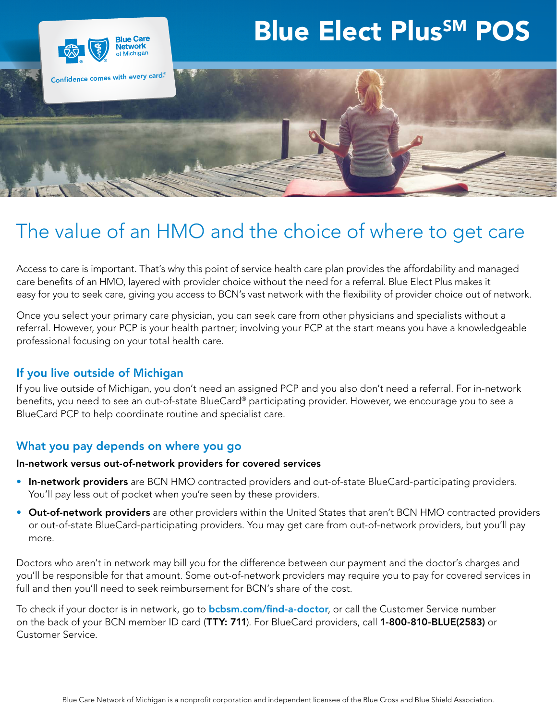# Blue Elect Plus<sup>SM</sup> POS



# The value of an HMO and the choice of where to get care

Access to care is important. That's why this point of service health care plan provides the affordability and managed care benefits of an HMO, layered with provider choice without the need for a referral. Blue Elect Plus makes it easy for you to seek care, giving you access to BCN's vast network with the flexibility of provider choice out of network.

Once you select your primary care physician, you can seek care from other physicians and specialists without a referral. However, your PCP is your health partner; involving your PCP at the start means you have a knowledgeable professional focusing on your total health care.

## If you live outside of Michigan

If you live outside of Michigan, you don't need an assigned PCP and you also don't need a referral. For in-network benefits, you need to see an out-of-state BlueCard® participating provider. However, we encourage you to see a BlueCard PCP to help coordinate routine and specialist care.

#### What you pay depends on where you go

#### In-network versus out-of-network providers for covered services

- In-network providers are BCN HMO contracted providers and out-of-state BlueCard-participating providers. You'll pay less out of pocket when you're seen by these providers.
- Out-of-network providers are other providers within the United States that aren't BCN HMO contracted providers or out-of-state BlueCard-participating providers. You may get care from out-of-network providers, but you'll pay more.

Doctors who aren't in network may bill you for the difference between our payment and the doctor's charges and you'll be responsible for that amount. Some out-of-network providers may require you to pay for covered services in full and then you'll need to seek reimbursement for BCN's share of the cost.

To check if your doctor is in network, go to **[bcbsm.com/find-a-doctor](http://bcbsm.com/find-a-doctor)**, or call the Customer Service number on the back of your BCN member ID card (TTY: 711). For BlueCard providers, call 1-800-810-BLUE(2583) or Customer Service.